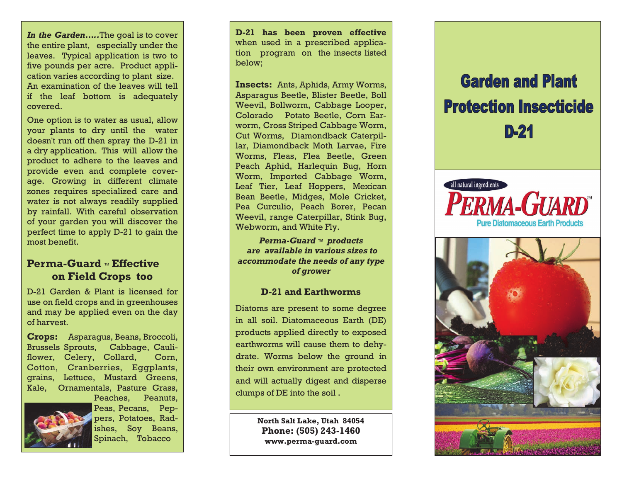*In the Garden…..*The goal is to cover the entire plant, especially under the leaves. Typical application is two to five pounds per acre. Product application varies according to plant size. An examination of the leaves will tell if the leaf bottom is adequately covered.

One option is to water as usual, allow your plants to dry until the water doesn't run off then spray the D-21 in a dry application. This will allow the product to adhere to the leaves and provide even and complete coverage. Growing in different climate zones requires specialized care and water is not always readily supplied by rainfall. With careful observation of your garden you will discover the perfect time to apply D-21 to gain the most benefit.

## **Perma-Guard** ™ **Effective on Field Crops too**

D-21 Garden & Plant is licensed for use on field crops and in greenhouses and may be applied even on the day of harvest.

**Crops:** Asparagus, Beans, Broccoli, Brussels Sprouts, Cabbage, Cauliflower, Celery, Collard, Corn, Cotton, Cranberries, Eggplants, grains, Lettuce, Mustard Greens, Kale, Ornamentals, Pasture Grass, Peaches, Peanuts,



Peas, Pecans, Peppers, Potatoes, Radishes, Soy Beans, Spinach, Tobacco

**D-21 has been proven effective**  when used in a prescribed application program on the insects listed below;

**Insects:** Ants, Aphids, Army Worms, Asparagus Beetle, Blister Beetle, Boll Weevil, Bollworm, Cabbage Looper, Colorado Potato Beetle, Corn Earworm, Cross Striped Cabbage Worm, Cut Worms, Diamondback Caterpillar, Diamondback Moth Larvae, Fire Worms, Fleas, Flea Beetle, Green Peach Aphid, Harlequin Bug, Horn Worm, Imported Cabbage Worm, Leaf Tier, Leaf Hoppers, Mexican Bean Beetle, Midges, Mole Cricket, Pea Curculio, Peach Borer, Pecan Weevil, range Caterpillar, Stink Bug, Webworm, and White Fly.

*Perma-Guard ™ products are available in various sizes to accommodate the needs of any type of grower* 

#### **D-21 and Earthworms**

Diatoms are present to some degree in all soil. Diatomaceous Earth (DE) products applied directly to exposed earthworms will cause them to dehydrate. Worms below the ground in their own environment are protected and will actually digest and disperse clumps of DE into the soil .

> **North Salt Lake, Utah 84054 Phone: (505) 243-1460 www.perma-guard.com**

# **Garden and Plant Protection Insecticide**  $D-24$